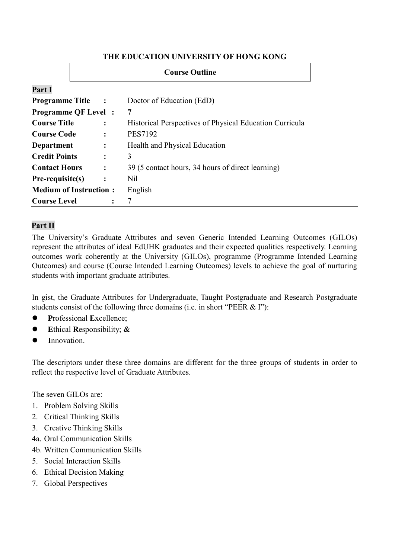#### **THE EDUCATION UNIVERSITY OF HONG KONG**

|                               | <b>Course Outline</b>                  |                                                         |  |  |
|-------------------------------|----------------------------------------|---------------------------------------------------------|--|--|
| Part I                        |                                        |                                                         |  |  |
| <b>Programme Title</b>        | $\mathbf{r}$ . The set of $\mathbf{r}$ | Doctor of Education (EdD)                               |  |  |
| <b>Programme QF Level</b> :   |                                        | 7                                                       |  |  |
| <b>Course Title</b>           | $\ddot{\cdot}$                         | Historical Perspectives of Physical Education Curricula |  |  |
| <b>Course Code</b>            | $\ddot{\cdot}$                         | <b>PES7192</b>                                          |  |  |
| Department                    | $\ddot{\cdot}$                         | Health and Physical Education                           |  |  |
| <b>Credit Points</b>          | $\ddot{\cdot}$                         | 3                                                       |  |  |
| <b>Contact Hours</b>          | $\ddot{\cdot}$                         | 39 (5 contact hours, 34 hours of direct learning)       |  |  |
| $Pre-requistic(s)$            | $\ddot{\cdot}$                         | <b>Nil</b>                                              |  |  |
| <b>Medium of Instruction:</b> |                                        | English                                                 |  |  |
| <b>Course Level</b>           | $\ddot{\cdot}$                         |                                                         |  |  |

# **Part II**

The University's Graduate Attributes and seven Generic Intended Learning Outcomes (GILOs) represent the attributes of ideal EdUHK graduates and their expected qualities respectively. Learning outcomes work coherently at the University (GILOs), programme (Programme Intended Learning Outcomes) and course (Course Intended Learning Outcomes) levels to achieve the goal of nurturing students with important graduate attributes.

In gist, the Graduate Attributes for Undergraduate, Taught Postgraduate and Research Postgraduate students consist of the following three domains (i.e. in short "PEER & I"):

- **P**rofessional **E**xcellence;
- **E**thical **R**esponsibility; **&**
- **I**nnovation.

The descriptors under these three domains are different for the three groups of students in order to reflect the respective level of Graduate Attributes.

The seven GILOs are:

- 1. Problem Solving Skills
- 2. Critical Thinking Skills
- 3. Creative Thinking Skills
- 4a. Oral Communication Skills
- 4b. Written Communication Skills
- 5. Social Interaction Skills
- 6. Ethical Decision Making
- 7. Global Perspectives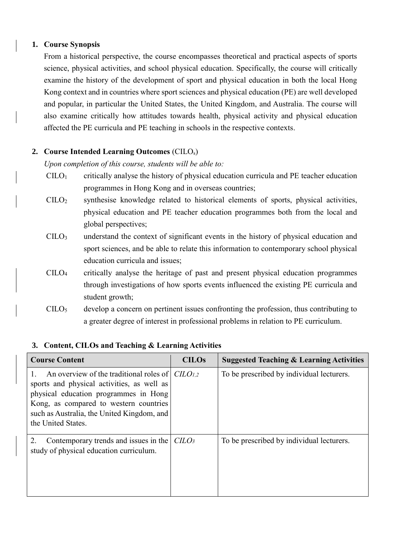## **1. Course Synopsis**

From a historical perspective, the course encompasses theoretical and practical aspects of sports science, physical activities, and school physical education. Specifically, the course will critically examine the history of the development of sport and physical education in both the local Hong Kong context and in countries where sport sciences and physical education (PE) are well developed and popular, in particular the United States, the United Kingdom, and Australia. The course will also examine critically how attitudes towards health, physical activity and physical education affected the PE curricula and PE teaching in schools in the respective contexts.

### **2. Course Intended Learning Outcomes** (CILOs)

*Upon completion of this course, students will be able to:*

- $C I L O<sub>1</sub>$  critically analyse the history of physical education curricula and PE teacher education programmes in Hong Kong and in overseas countries;
- $\text{CILO}_2$  synthesise knowledge related to historical elements of sports, physical activities, physical education and PE teacher education programmes both from the local and global perspectives;
- CILO<sup>3</sup> understand the context of significant events in the history of physical education and sport sciences, and be able to relate this information to contemporary school physical education curricula and issues;
- CILO4 critically analyse the heritage of past and present physical education programmes through investigations of how sports events influenced the existing PE curricula and student growth;
- $\text{CILO}_5$  develop a concern on pertinent issues confronting the profession, thus contributing to a greater degree of interest in professional problems in relation to PE curriculum.

### **3. Content, CILOs and Teaching & Learning Activities**

| <b>Course Content</b>                                                                                                                                                                                                                                              | <b>CILOs</b> | <b>Suggested Teaching &amp; Learning Activities</b> |  |
|--------------------------------------------------------------------------------------------------------------------------------------------------------------------------------------------------------------------------------------------------------------------|--------------|-----------------------------------------------------|--|
| An overview of the traditional roles of $ C\angle ILO_{1,2} $<br>sports and physical activities, as well as<br>physical education programmes in Hong<br>Kong, as compared to western countries<br>such as Australia, the United Kingdom, and<br>the United States. |              | To be prescribed by individual lecturers.           |  |
| Contemporary trends and issues in the<br>2.<br>study of physical education curriculum.                                                                                                                                                                             | $C LO3$      | To be prescribed by individual lecturers.           |  |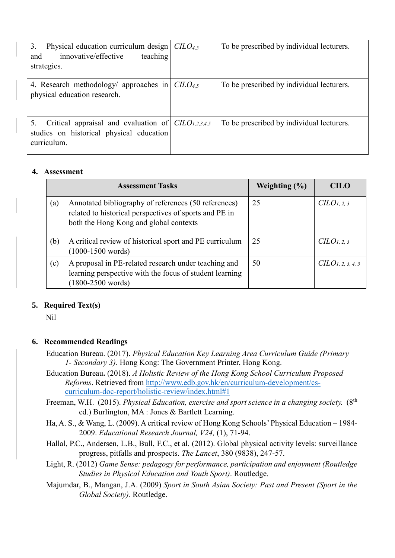| 3.<br>Physical education curriculum design $\vert$ CILO <sub>4,5</sub><br>innovative/effective<br>teaching<br>and<br>strategies. | To be prescribed by individual lecturers. |
|----------------------------------------------------------------------------------------------------------------------------------|-------------------------------------------|
| 4. Research methodology/ approaches in $\text{CILO}_{4,5}$<br>physical education research.                                       | To be prescribed by individual lecturers. |
| Critical appraisal and evaluation of $\text{CILO}_{1,2,3,4,5}$<br>5.<br>studies on historical physical education<br>curriculum.  | To be prescribed by individual lecturers. |

#### **4. Assessment**

|     | <b>Assessment Tasks</b>                                                                                                                                  | Weighting $(\% )$ | <b>CILO</b>                   |
|-----|----------------------------------------------------------------------------------------------------------------------------------------------------------|-------------------|-------------------------------|
| (a) | Annotated bibliography of references (50 references)<br>related to historical perspectives of sports and PE in<br>both the Hong Kong and global contexts | 25                | CLO <sub>1, 2, 3</sub>        |
| (b) | A critical review of historical sport and PE curriculum<br>$(1000-1500 \text{ words})$                                                                   | 25                | CLO <sub>1, 2, 3</sub>        |
| (c) | A proposal in PE-related research under teaching and<br>learning perspective with the focus of student learning<br>$(1800 - 2500 \text{ words})$         | 50                | CILO <sub>1, 2, 3, 4, 5</sub> |

### **5. Required Text(s)**

Nil

### **6. Recommended Readings**

- Education Bureau. (2017). *Physical Education Key Learning Area Curriculum Guide (Primary 1- Secondary 3)*. Hong Kong: The Government Printer, Hong Kong.
- Education Bureau**.** (2018). *A Holistic Review of the Hong Kong School Curriculum Proposed Reforms*. Retrieved from [http://www.edb.gov.hk/en/curriculum-development/cs](http://www.edb.gov.hk/en/curriculum-development/cs-curriculum-doc-report/holistic-review/index.html#1)[curriculum-doc-report/holistic-review/index.html#1](http://www.edb.gov.hk/en/curriculum-development/cs-curriculum-doc-report/holistic-review/index.html#1)
- Freeman, W.H. (2015). *Physical Education, exercise and sport science in a changing society.* (8th ed.) Burlington, MA : Jones & Bartlett Learning.
- Ha, A. S., & Wang, L. (2009). A critical review of Hong Kong Schools' Physical Education 1984- 2009. *Educational Research Journal, V24,* (1), 71-94.
- Hallal, P.C., Andersen, L.B., Bull, F.C., et al. (2012). Global physical activity levels: surveillance progress, pitfalls and prospects. *The Lancet*, 380 (9838), 247-57.
- Light, R. (2012) *Game Sense: pedagogy for performance, participation and enjoyment (Routledge Studies in Physical Education and Youth Sport)*. Routledge.
- Majumdar, B., Mangan, J.A. (2009) *Sport in South Asian Society: Past and Present (Sport in the Global Society)*. Routledge.